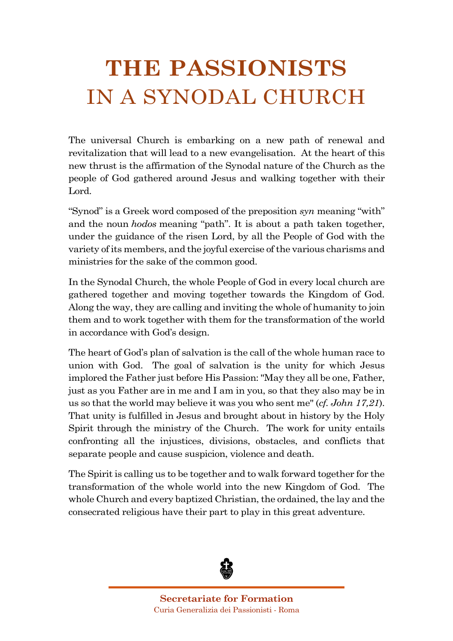# **THE PASSIONISTS** IN A SYNODAL CHURCH

The universal Church is embarking on a new path of renewal and revitalization that will lead to a new evangelisation. At the heart of this new thrust is the affirmation of the Synodal nature of the Church as the people of God gathered around Jesus and walking together with their Lord.

"Synod" is a Greek word composed of the preposition *syn* meaning "with" and the noun *hodos* meaning "path". It is about a path taken together, under the guidance of the risen Lord, by all the People of God with the variety of its members, and the joyful exercise of the various charisms and ministries for the sake of the common good.

In the Synodal Church, the whole People of God in every local church are gathered together and moving together towards the Kingdom of God. Along the way, they are calling and inviting the whole of humanity to join them and to work together with them for the transformation of the world in accordance with God's design.

The heart of God's plan of salvation is the call of the whole human race to union with God. The goal of salvation is the unity for which Jesus implored the Father just before His Passion: "May they all be one, Father, just as you Father are in me and I am in you, so that they also may be in us so that the world may believe it was you who sent me" (*cf. John 17,21*). That unity is fulfilled in Jesus and brought about in history by the Holy Spirit through the ministry of the Church. The work for unity entails confronting all the injustices, divisions, obstacles, and conflicts that separate people and cause suspicion, violence and death.

The Spirit is calling us to be together and to walk forward together for the transformation of the whole world into the new Kingdom of God. The whole Church and every baptized Christian, the ordained, the lay and the consecrated religious have their part to play in this great adventure.



**Secretariate for Formation** Curia Generalizia dei Passionisti - Roma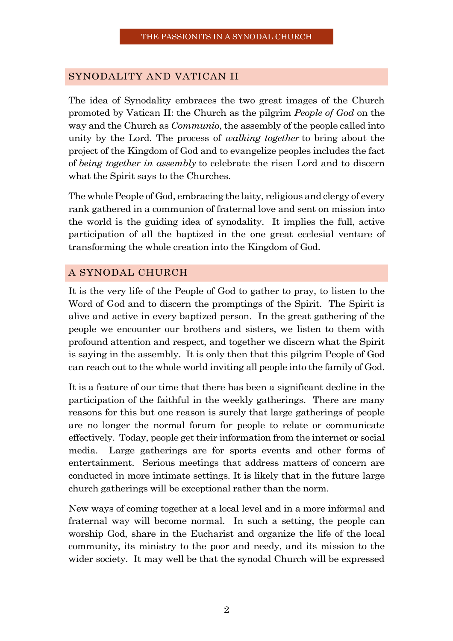#### SYNODALITY AND VATICAN II

The idea of Synodality embraces the two great images of the Church promoted by Vatican II: the Church as the pilgrim *People of God* on the way and the Church as *Communio*, the assembly of the people called into unity by the Lord. The process of *walking together* to bring about the project of the Kingdom of God and to evangelize peoples includes the fact of *being together in assembly* to celebrate the risen Lord and to discern what the Spirit says to the Churches.

The whole People of God, embracing the laity, religious and clergy of every rank gathered in a communion of fraternal love and sent on mission into the world is the guiding idea of synodality. It implies the full, active participation of all the baptized in the one great ecclesial venture of transforming the whole creation into the Kingdom of God.

### A SYNODAL CHURCH

It is the very life of the People of God to gather to pray, to listen to the Word of God and to discern the promptings of the Spirit. The Spirit is alive and active in every baptized person. In the great gathering of the people we encounter our brothers and sisters, we listen to them with profound attention and respect, and together we discern what the Spirit is saying in the assembly. It is only then that this pilgrim People of God can reach out to the whole world inviting all people into the family of God.

It is a feature of our time that there has been a significant decline in the participation of the faithful in the weekly gatherings. There are many reasons for this but one reason is surely that large gatherings of people are no longer the normal forum for people to relate or communicate effectively. Today, people get their information from the internet or social media. Large gatherings are for sports events and other forms of entertainment. Serious meetings that address matters of concern are conducted in more intimate settings. It is likely that in the future large church gatherings will be exceptional rather than the norm.

New ways of coming together at a local level and in a more informal and fraternal way will become normal. In such a setting, the people can worship God, share in the Eucharist and organize the life of the local community, its ministry to the poor and needy, and its mission to the wider society. It may well be that the synodal Church will be expressed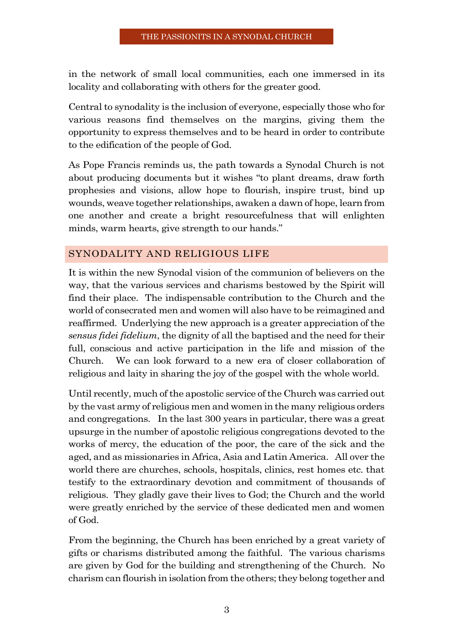in the network of small local communities, each one immersed in its locality and collaborating with others for the greater good.

Central to synodality is the inclusion of everyone, especially those who for various reasons find themselves on the margins, giving them the opportunity to express themselves and to be heard in order to contribute to the edification of the people of God.

As Pope Francis reminds us, the path towards a Synodal Church is not about producing documents but it wishes "to plant dreams, draw forth prophesies and visions, allow hope to flourish, inspire trust, bind up wounds, weave together relationships, awaken a dawn of hope, learn from one another and create a bright resourcefulness that will enlighten minds, warm hearts, give strength to our hands."

## SYNODALITY AND RELIGIOUS LIFE

It is within the new Synodal vision of the communion of believers on the way, that the various services and charisms bestowed by the Spirit will find their place. The indispensable contribution to the Church and the world of consecrated men and women will also have to be reimagined and reaffirmed. Underlying the new approach is a greater appreciation of the *sensus fidei fidelium*, the dignity of all the baptised and the need for their full, conscious and active participation in the life and mission of the Church. We can look forward to a new era of closer collaboration of religious and laity in sharing the joy of the gospel with the whole world.

Until recently, much of the apostolic service of the Church was carried out by the vast army of religious men and women in the many religious orders and congregations. In the last 300 years in particular, there was a great upsurge in the number of apostolic religious congregations devoted to the works of mercy, the education of the poor, the care of the sick and the aged, and as missionaries in Africa, Asia and Latin America. All over the world there are churches, schools, hospitals, clinics, rest homes etc. that testify to the extraordinary devotion and commitment of thousands of religious. They gladly gave their lives to God; the Church and the world were greatly enriched by the service of these dedicated men and women of God.

From the beginning, the Church has been enriched by a great variety of gifts or charisms distributed among the faithful. The various charisms are given by God for the building and strengthening of the Church. No charism can flourish in isolation from the others; they belong together and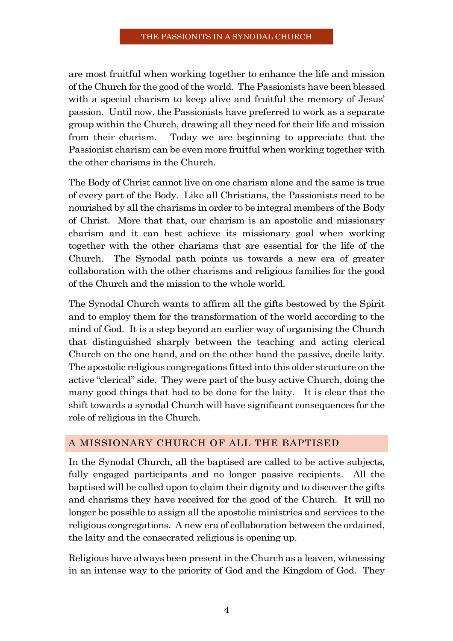are most fruitful when working together to enhance the life and mission of the Church for the good of the world. The Passionists have been blessed with a special charism to keep alive and fruitful the memory of Jesus' passion. Until now, the Passionists have preferred to work as a separate group within the Church, drawing all they need for their life and mission from their charism. Today we are beginning to appreciate that the Passionist charism can be even more fruitful when working together with the other charisms in the Church.

The Body of Christ cannot live on one charism alone and the same is true of every part of the Body. Like all Christians, the Passionists need to be nourished by all the charisms in order to be integral members of the Body of Christ. More that that, our charism is an apostolic and missionary charism and it can best achieve its missionary goal when working together with the other charisms that are essential for the life of the Church. The Synodal path points us towards a new era of greater collaboration with the other charisms and religious families for the good of the Church and the mission to the whole world.

The Synodal Church wants to affirm all the gifts bestowed by the Spirit and to employ them for the transformation of the world according to the mind of God. It is a step beyond an earlier way of organising the Church that distinguished sharply between the teaching and acting clerical Church on the one hand, and on the other hand the passive, docile laity. The apostolic religious congregations fitted into this older structure on the active "clerical" side. They were part of the busy active Church, doing the many good things that had to be done for the laity. It is clear that the shift towards a synodal Church will have significant consequences for the role of religious in the Church.

## A MISSIONARY CHURCH OF ALL THE BAPTISED

In the Synodal Church, all the baptised are called to be active subjects, fully engaged participants and no longer passive recipients. All the baptised will be called upon to claim their dignity and to discover the gifts and charisms they have received for the good of the Church. It will no longer be possible to assign all the apostolic ministries and services to the religious congregations. A new era of collaboration between the ordained, the laity and the consecrated religious is opening up.

Religious have always been present in the Church as a leaven, witnessing in an intense way to the priority of God and the Kingdom of God. They